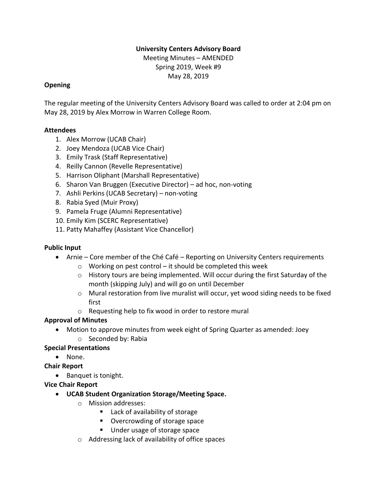## **University Centers Advisory Board**

Meeting Minutes – AMENDED Spring 2019, Week #9 May 28, 2019

## **Opening**

The regular meeting of the University Centers Advisory Board was called to order at 2:04 pm on May 28, 2019 by Alex Morrow in Warren College Room.

### **Attendees**

- 1. Alex Morrow (UCAB Chair)
- 2. Joey Mendoza (UCAB Vice Chair)
- 3. Emily Trask (Staff Representative)
- 4. Reilly Cannon (Revelle Representative)
- 5. Harrison Oliphant (Marshall Representative)
- 6. Sharon Van Bruggen (Executive Director) ad hoc, non-voting
- 7. Ashli Perkins (UCAB Secretary) non-voting
- 8. Rabia Syed (Muir Proxy)
- 9. Pamela Fruge (Alumni Representative)
- 10. Emily Kim (SCERC Representative)
- 11. Patty Mahaffey (Assistant Vice Chancellor)

## **Public Input**

- Arnie Core member of the Ché Café Reporting on University Centers requirements
	- $\circ$  Working on pest control it should be completed this week
	- $\circ$  History tours are being implemented. Will occur during the first Saturday of the month (skipping July) and will go on until December
	- $\circ$  Mural restoration from live muralist will occur, yet wood siding needs to be fixed first
	- o Requesting help to fix wood in order to restore mural

## **Approval of Minutes**

- Motion to approve minutes from week eight of Spring Quarter as amended: Joey
	- o Seconded by: Rabia

## **Special Presentations**

• None.

## **Chair Report**

- Banquet is tonight.
- **Vice Chair Report**
	- **UCAB Student Organization Storage/Meeting Space.**
		- o Mission addresses:
			- Lack of availability of storage
			- Overcrowding of storage space
			- Under usage of storage space
		- o Addressing lack of availability of office spaces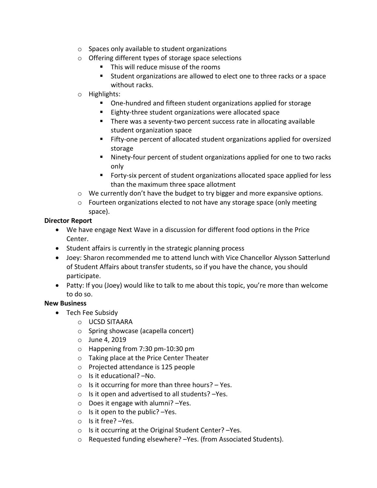- o Spaces only available to student organizations
- o Offering different types of storage space selections
	- This will reduce misuse of the rooms
	- Student organizations are allowed to elect one to three racks or a space without racks.
- o Highlights:
	- One-hundred and fifteen student organizations applied for storage
	- Eighty-three student organizations were allocated space
	- There was a seventy-two percent success rate in allocating available student organization space
	- Fifty-one percent of allocated student organizations applied for oversized storage
	- Ninety-four percent of student organizations applied for one to two racks only
	- Forty-six percent of student organizations allocated space applied for less than the maximum three space allotment
- $\circ$  We currently don't have the budget to try bigger and more expansive options.
- $\circ$  Fourteen organizations elected to not have any storage space (only meeting space).

### **Director Report**

- We have engage Next Wave in a discussion for different food options in the Price Center.
- Student affairs is currently in the strategic planning process
- Joey: Sharon recommended me to attend lunch with Vice Chancellor Alysson Satterlund of Student Affairs about transfer students, so if you have the chance, you should participate.
- Patty: If you (Joey) would like to talk to me about this topic, you're more than welcome to do so.

## **New Business**

- Tech Fee Subsidy
	- o UCSD SITAARA
	- o Spring showcase (acapella concert)
	- o June 4, 2019
	- o Happening from 7:30 pm-10:30 pm
	- o Taking place at the Price Center Theater
	- o Projected attendance is 125 people
	- o Is it educational? –No.
	- $\circ$  Is it occurring for more than three hours? Yes.
	- o Is it open and advertised to all students? –Yes.
	- o Does it engage with alumni? –Yes.
	- $\circ$  Is it open to the public? -Yes.
	- o Is it free? –Yes.
	- o Is it occurring at the Original Student Center? –Yes.
	- o Requested funding elsewhere? –Yes. (from Associated Students).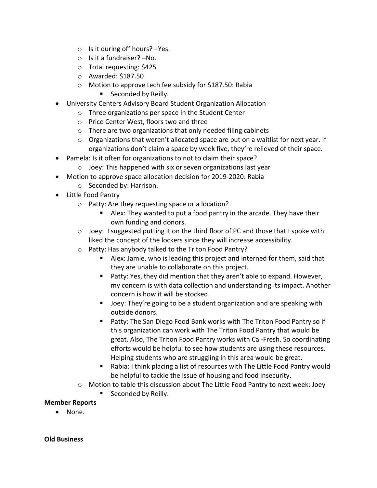- $\circ$  Is it during off hours? -Yes.
- o Is it a fundraiser? –No.
- o Total requesting: \$425
- o Awarded: \$187.50
- o Motion to approve tech fee subsidy for \$187.50: Rabia
	- Seconded by Reilly.
- University Centers Advisory Board Student Organization Allocation
	- o Three organizations per space in the Student Center
	- o Price Center West, floors two and three
	- o There are two organizations that only needed filing cabinets
	- $\circ$  Organizations that weren't allocated space are put on a waitlist for next year. If organizations don't claim a space by week five, they're relieved of their space.
- Pamela: Is it often for organizations to not to claim their space?
	- o Joey: This happened with six or seven organizations last year
- Motion to approve space allocation decision for 2019-2020: Rabia
	- o Seconded by: Harrison.
- Little Food Pantry
	- o Patty: Are they requesting space or a location?
		- Alex: They wanted to put a food pantry in the arcade. They have their own funding and donors.
	- $\circ$  Joey: I suggested putting it on the third floor of PC and those that I spoke with liked the concept of the lockers since they will increase accessibility.
	- o Patty: Has anybody talked to the Triton Food Pantry?
		- Alex: Jamie, who is leading this project and interned for them, said that they are unable to collaborate on this project.
		- Patty: Yes, they did mention that they aren't able to expand. However, my concern is with data collection and understanding its impact. Another concern is how it will be stocked.
		- Joey: They're going to be a student organization and are speaking with outside donors.
		- Patty: The San Diego Food Bank works with The Triton Food Pantry so if this organization can work with The Triton Food Pantry that would be great. Also, The Triton Food Pantry works with Cal-Fresh. So coordinating efforts would be helpful to see how students are using these resources. Helping students who are struggling in this area would be great.
		- Rabia: I think placing a list of resources with The Little Food Pantry would be helpful to tackle the issue of housing and food insecurity.
	- o Motion to table this discussion about The Little Food Pantry to next week: Joey
		- Seconded by Reilly.

#### **Member Reports**

• None.

#### **Old Business**